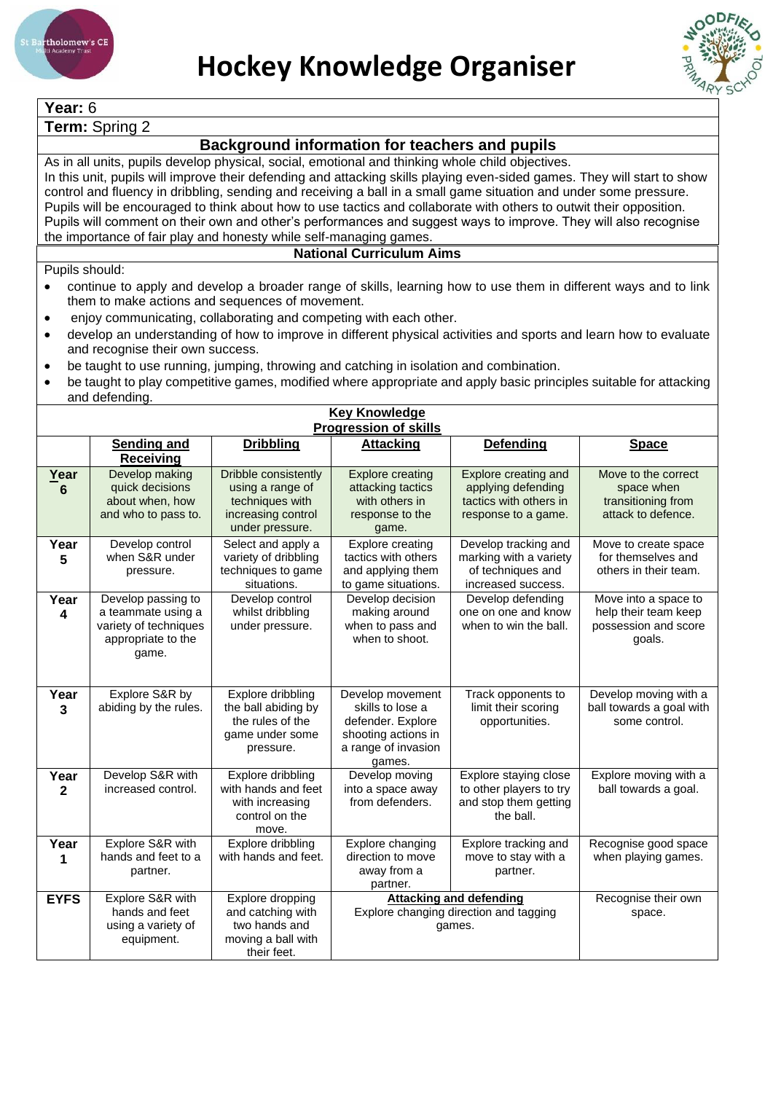

**Year:** 6



## **Term:** Spring 2 **Background information for teachers and pupils** As in all units, pupils develop physical, social, emotional and thinking whole child objectives. In this unit, pupils will improve their defending and attacking skills playing even-sided games. They will start to show control and fluency in dribbling, sending and receiving a ball in a small game situation and under some pressure. Pupils will be encouraged to think about how to use tactics and collaborate with others to outwit their opposition. Pupils will comment on their own and other's performances and suggest ways to improve. They will also recognise the importance of fair play and honesty while self-managing games. **National Curriculum Aims** Pupils should: • continue to apply and develop a broader range of skills, learning how to use them in different ways and to link them to make actions and sequences of movement. • enjoy communicating, collaborating and competing with each other. • develop an understanding of how to improve in different physical activities and sports and learn how to evaluate and recognise their own success. • be taught to use running, jumping, throwing and catching in isolation and combination. • be taught to play competitive games, modified where appropriate and apply basic principles suitable for attacking and defending. **Key Knowledge Progression of skills Sending and Receiving Dribbling** | Attacking | Defending | Space **Year 6** Develop making quick decisions about when, how and who to pass to. Dribble consistently using a range of techniques with increasing control under pressure. Explore creating attacking tactics with others in response to the game. Explore creating and applying defending tactics with others in response to a game. Move to the correct space when transitioning from attack to defence. **Year 5** Develop control when S&R under pressure. Select and apply a variety of dribbling techniques to game situations. Explore creating tactics with others and applying them to game situations. Develop tracking and marking with a variety of techniques and increased success. Move to create space for themselves and others in their team. **Year 4** Develop passing to a teammate using a variety of techniques appropriate to the game. Develop control whilst dribbling under pressure. Develop decision making around when to pass and when to shoot. Develop defending one on one and know when to win the ball. Move into a space to help their team keep possession and score goals. **Year 3** Explore S&R by abiding by the rules. Explore dribbling the ball abiding by the rules of the game under some pressure. Develop movement skills to lose a defender. Explore shooting actions in a range of invasion games. Track opponents to limit their scoring opportunities. Develop moving with a ball towards a goal with some control. **Year 2** Develop S&R with increased control. Explore dribbling with hands and feet with increasing control on the move. Develop moving into a space away from defenders. Explore staying close to other players to try and stop them getting the ball. Explore moving with a ball towards a goal. **Year 1** Explore S&R with hands and feet to a partner. Explore dribbling with hands and feet. Explore changing direction to move away from a partner. Explore tracking and move to stay with a partner. Recognise good space when playing games. **EYFS** Explore S&R with hands and feet using a variety of equipment. Explore dropping and catching with two hands and moving a ball with their feet. **Attacking and defending** Explore changing direction and tagging games. Recognise their own space.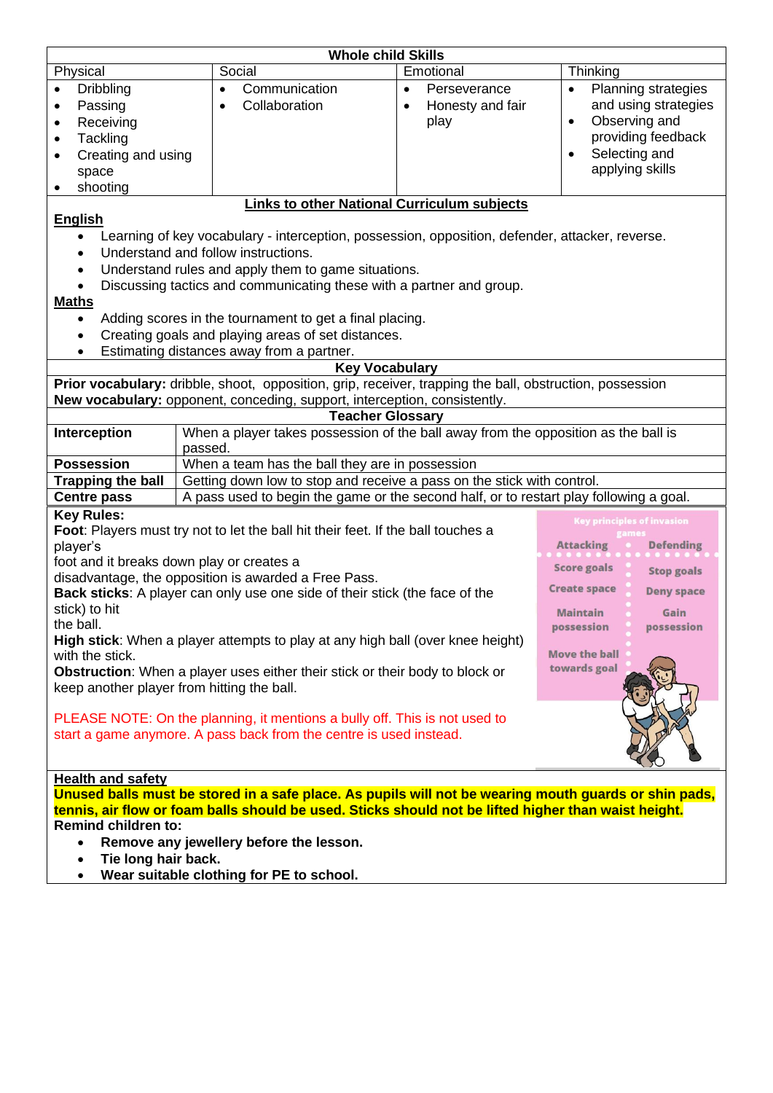| <b>Whole child Skills</b>                                                                                                                                                                                                                                                                                                                                                                                                                                                                                                                                                                                                                                                                                                                                                                                                                                                                                                                                                                     |                                                                                        |                                                       |                                                                                                                                                         |  |
|-----------------------------------------------------------------------------------------------------------------------------------------------------------------------------------------------------------------------------------------------------------------------------------------------------------------------------------------------------------------------------------------------------------------------------------------------------------------------------------------------------------------------------------------------------------------------------------------------------------------------------------------------------------------------------------------------------------------------------------------------------------------------------------------------------------------------------------------------------------------------------------------------------------------------------------------------------------------------------------------------|----------------------------------------------------------------------------------------|-------------------------------------------------------|---------------------------------------------------------------------------------------------------------------------------------------------------------|--|
| Physical                                                                                                                                                                                                                                                                                                                                                                                                                                                                                                                                                                                                                                                                                                                                                                                                                                                                                                                                                                                      | Social                                                                                 | Emotional                                             | Thinking                                                                                                                                                |  |
| <b>Dribbling</b><br>Passing<br>Receiving<br>$\bullet$<br>Tackling<br>Creating and using<br>space<br>shooting                                                                                                                                                                                                                                                                                                                                                                                                                                                                                                                                                                                                                                                                                                                                                                                                                                                                                  | Communication<br>$\bullet$<br>Collaboration                                            | Perseverance<br>$\bullet$<br>Honesty and fair<br>play | <b>Planning strategies</b><br>$\bullet$<br>and using strategies<br>Observing and<br>$\bullet$<br>providing feedback<br>Selecting and<br>applying skills |  |
|                                                                                                                                                                                                                                                                                                                                                                                                                                                                                                                                                                                                                                                                                                                                                                                                                                                                                                                                                                                               |                                                                                        |                                                       |                                                                                                                                                         |  |
| <b>Links to other National Curriculum subjects</b><br><b>English</b><br>Learning of key vocabulary - interception, possession, opposition, defender, attacker, reverse.<br>Understand and follow instructions.<br>Understand rules and apply them to game situations.<br>Discussing tactics and communicating these with a partner and group.<br><b>Maths</b><br>Adding scores in the tournament to get a final placing.<br>$\bullet$<br>Creating goals and playing areas of set distances.<br>$\bullet$<br>Estimating distances away from a partner.                                                                                                                                                                                                                                                                                                                                                                                                                                         |                                                                                        |                                                       |                                                                                                                                                         |  |
|                                                                                                                                                                                                                                                                                                                                                                                                                                                                                                                                                                                                                                                                                                                                                                                                                                                                                                                                                                                               |                                                                                        |                                                       |                                                                                                                                                         |  |
| <b>Key Vocabulary</b><br>Prior vocabulary: dribble, shoot, opposition, grip, receiver, trapping the ball, obstruction, possession<br>New vocabulary: opponent, conceding, support, interception, consistently.                                                                                                                                                                                                                                                                                                                                                                                                                                                                                                                                                                                                                                                                                                                                                                                |                                                                                        |                                                       |                                                                                                                                                         |  |
|                                                                                                                                                                                                                                                                                                                                                                                                                                                                                                                                                                                                                                                                                                                                                                                                                                                                                                                                                                                               |                                                                                        | <b>Teacher Glossary</b>                               |                                                                                                                                                         |  |
| Interception<br>When a player takes possession of the ball away from the opposition as the ball is<br>passed.                                                                                                                                                                                                                                                                                                                                                                                                                                                                                                                                                                                                                                                                                                                                                                                                                                                                                 |                                                                                        |                                                       |                                                                                                                                                         |  |
| <b>Possession</b>                                                                                                                                                                                                                                                                                                                                                                                                                                                                                                                                                                                                                                                                                                                                                                                                                                                                                                                                                                             | When a team has the ball they are in possession                                        |                                                       |                                                                                                                                                         |  |
| <b>Trapping the ball</b><br>Getting down low to stop and receive a pass on the stick with control.                                                                                                                                                                                                                                                                                                                                                                                                                                                                                                                                                                                                                                                                                                                                                                                                                                                                                            |                                                                                        |                                                       |                                                                                                                                                         |  |
| <b>Centre pass</b>                                                                                                                                                                                                                                                                                                                                                                                                                                                                                                                                                                                                                                                                                                                                                                                                                                                                                                                                                                            | A pass used to begin the game or the second half, or to restart play following a goal. |                                                       |                                                                                                                                                         |  |
| <b>Key Rules:</b><br><b>Key principles of invasion</b><br>Foot: Players must try not to let the ball hit their feet. If the ball touches a<br>player's<br><b>Attacking</b><br><b>Defending</b><br>foot and it breaks down play or creates a<br><b>Score goals</b><br><b>Stop goals</b><br>disadvantage, the opposition is awarded a Free Pass.<br><b>Create space</b><br><b>Deny space</b><br>Back sticks: A player can only use one side of their stick (the face of the<br>stick) to hit<br><b>Maintain</b><br>Gain<br>the ball.<br>possession<br>possession<br>High stick: When a player attempts to play at any high ball (over knee height)<br><b>Move the ball</b><br>with the stick.<br>towards goal<br>Obstruction: When a player uses either their stick or their body to block or<br>keep another player from hitting the ball.<br>PLEASE NOTE: On the planning, it mentions a bully off. This is not used to<br>start a game anymore. A pass back from the centre is used instead. |                                                                                        |                                                       |                                                                                                                                                         |  |
| <b>Health and safety</b>                                                                                                                                                                                                                                                                                                                                                                                                                                                                                                                                                                                                                                                                                                                                                                                                                                                                                                                                                                      |                                                                                        |                                                       |                                                                                                                                                         |  |
| Unused balls must be stored in a safe place. As pupils will not be wearing mouth guards or shin pads,<br>tennis, air flow or foam balls should be used. Sticks should not be lifted higher than waist height.<br><b>Remind children to:</b><br>Remove any jewellery before the lesson.<br>Tie long hair back.<br>Wear suitable clothing for PE to school.                                                                                                                                                                                                                                                                                                                                                                                                                                                                                                                                                                                                                                     |                                                                                        |                                                       |                                                                                                                                                         |  |